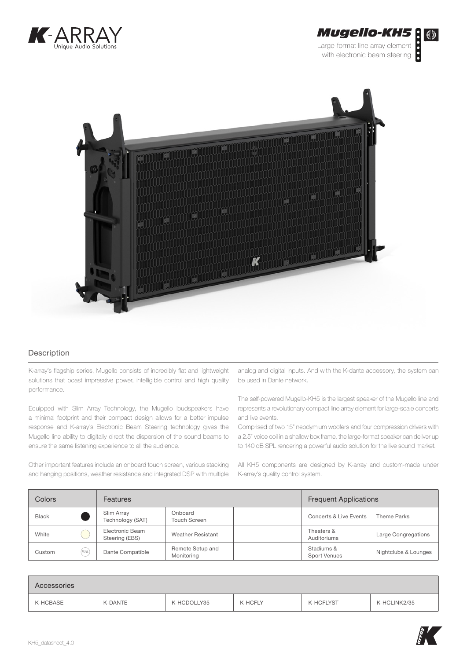





## Description

K-array's flagship series, Mugello consists of incredibly flat and lightweight solutions that boast impressive power, intelligible control and high quality performance.

Equipped with Slim Array Technology, the Mugello loudspeakers have a minimal footprint and their compact design allows for a better impulse response and K-array's Electronic Beam Steering technology gives the Mugello line ability to digitally direct the dispersion of the sound beams to ensure the same listening experience to all the audience.

Other important features include an onboard touch screen, various stacking and hanging positions, weather resistance and integrated DSP with multiple analog and digital inputs. And with the K-dante accessory, the system can be used in Dante network.

The self-powered Mugello-KH5 is the largest speaker of the Mugello line and represents a revolutionary compact line array element for large-scale concerts and live events.

Comprised of two 15" neodymium woofers and four compression drivers with a 2.5" voice coil in a shallow box frame, the large-format speaker can deliver up to 140 dB SPL rendering a powerful audio solution for the live sound market.

All KH5 components are designed by K-array and custom-made under K-array's quality control system.

| Colors       |       | <b>Features</b>                   |                                | <b>Frequent Applications</b> |                                   |                      |
|--------------|-------|-----------------------------------|--------------------------------|------------------------------|-----------------------------------|----------------------|
| <b>Black</b> |       | Slim Array<br>Technology (SAT)    | Onboard<br><b>Touch Screen</b> |                              | Concerts & Live Events            | Theme Parks          |
| White        |       | Electronic Beam<br>Steering (EBS) | Weather Resistant              |                              | Theaters &<br>Auditoriums         | Large Congregations  |
| Custom       | (RAL) | Dante Compatible                  | Remote Setup and<br>Monitoring |                              | Stadiums &<br><b>Sport Venues</b> | Nightclubs & Lounges |

| Accessories |         |             |         |           |              |
|-------------|---------|-------------|---------|-----------|--------------|
| K-HCBASE    | K-DANTE | K-HCDOLLY35 | K-HCFLY | K-HCFLYST | K-HCLINK2/35 |